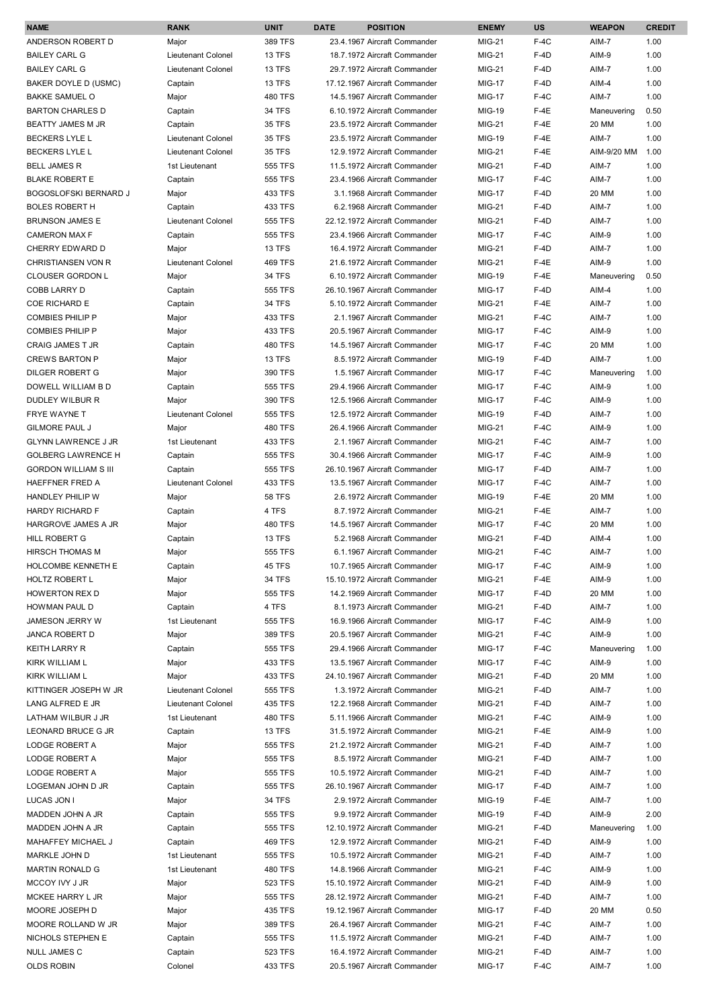| <b>NAME</b>                                           | <b>RANK</b>                   | <b>UNIT</b>        | <b>DATE</b> | <b>POSITION</b>                                               | <b>ENEMY</b>                   | <b>US</b>        | <b>WEAPON</b>  | <b>CREDIT</b> |
|-------------------------------------------------------|-------------------------------|--------------------|-------------|---------------------------------------------------------------|--------------------------------|------------------|----------------|---------------|
| ANDERSON ROBERT D                                     | Major                         | 389 TFS            |             | 23.4.1967 Aircraft Commander                                  | <b>MIG-21</b>                  | $F-4C$           | AIM-7          | 1.00          |
| <b>BAILEY CARL G</b>                                  | Lieutenant Colonel            | <b>13 TFS</b>      |             | 18.7.1972 Aircraft Commander                                  | <b>MIG-21</b>                  | $F-4D$           | AIM-9          | 1.00          |
| <b>BAILEY CARL G</b>                                  | Lieutenant Colonel            | 13 TFS             |             | 29.7.1972 Aircraft Commander                                  | <b>MIG-21</b>                  | $F-4D$           | AIM-7          | 1.00          |
| BAKER DOYLE D (USMC)                                  | Captain                       | <b>13 TFS</b>      |             | 17.12.1967 Aircraft Commander                                 | <b>MIG-17</b>                  | F-4D             | AIM-4          | 1.00          |
| <b>BAKKE SAMUEL O</b>                                 | Major                         | <b>480 TFS</b>     |             | 14.5.1967 Aircraft Commander                                  | <b>MIG-17</b>                  | $F-4C$           | AIM-7          | 1.00          |
| <b>BARTON CHARLES D</b>                               | Captain                       | <b>34 TFS</b>      |             | 6.10.1972 Aircraft Commander                                  | <b>MIG-19</b>                  | $F-4E$           | Maneuvering    | 0.50          |
| BEATTY JAMES M JR                                     | Captain                       | <b>35 TFS</b>      |             | 23.5.1972 Aircraft Commander                                  | <b>MIG-21</b>                  | $F-4E$           | 20 MM          | 1.00          |
| <b>BECKERS LYLE L</b>                                 | Lieutenant Colonel            | <b>35 TFS</b>      |             | 23.5.1972 Aircraft Commander                                  | MIG-19                         | $F-4E$           | AIM-7          | 1.00          |
| <b>BECKERS LYLE L</b>                                 | Lieutenant Colonel            | <b>35 TFS</b>      |             | 12.9.1972 Aircraft Commander                                  | MIG-21                         | $F-4E$           | AIM-9/20 MM    | 1.00          |
| <b>BELL JAMES R</b>                                   | 1st Lieutenant                | 555 TFS            |             | 11.5.1972 Aircraft Commander                                  | MIG-21                         | $F-4D$           | AIM-7          | 1.00          |
| <b>BLAKE ROBERT E</b>                                 | Captain                       | 555 TFS            |             | 23.4.1966 Aircraft Commander                                  | <b>MIG-17</b>                  | $F-4C$           | AIM-7          | 1.00          |
| <b>BOGOSLOFSKI BERNARD J</b>                          | Major                         | 433 TFS            |             | 3.1.1968 Aircraft Commander                                   | <b>MIG-17</b>                  | $F-4D$           | 20 MM          | 1.00          |
| <b>BOLES ROBERT H</b>                                 | Captain                       | 433 TFS            |             | 6.2.1968 Aircraft Commander                                   | <b>MIG-21</b>                  | $F-4D$           | AIM-7          | 1.00          |
| <b>BRUNSON JAMES E</b>                                | Lieutenant Colonel            | 555 TFS            |             | 22.12.1972 Aircraft Commander                                 | <b>MIG-21</b>                  | $F-4D$           | AIM-7          | 1.00          |
| <b>CAMERON MAX F</b>                                  | Captain                       | 555 TFS            |             | 23.4.1966 Aircraft Commander                                  | <b>MIG-17</b>                  | $F-4C$           | AIM-9          | 1.00          |
| CHERRY EDWARD D                                       | Major                         | <b>13 TFS</b>      |             | 16.4.1972 Aircraft Commander                                  | MIG-21                         | $F-4D$           | AIM-7          | 1.00          |
| <b>CHRISTIANSEN VON R</b>                             | <b>Lieutenant Colonel</b>     | <b>469 TFS</b>     |             | 21.6.1972 Aircraft Commander                                  | MIG-21                         | $F-4E$           | AIM-9          | 1.00          |
| <b>CLOUSER GORDON L</b>                               | Major                         | <b>34 TFS</b>      |             | 6.10.1972 Aircraft Commander                                  | <b>MIG-19</b>                  | $F-4E$           | Maneuvering    | 0.50          |
| COBB LARRY D                                          | Captain                       | 555 TFS            |             | 26.10.1967 Aircraft Commander                                 | <b>MIG-17</b>                  | $F-4D$           | AIM-4          | 1.00          |
| <b>COE RICHARD E</b>                                  | Captain                       | 34 TFS             |             | 5.10.1972 Aircraft Commander                                  | MIG-21                         | $F-4E$           | AIM-7          | 1.00          |
| <b>COMBIES PHILIP P</b>                               | Major                         | 433 TFS            |             | 2.1.1967 Aircraft Commander                                   | MIG-21                         | $F-4C$           | AIM-7          | 1.00          |
| <b>COMBIES PHILIP P</b>                               | Major                         | 433 TFS            |             | 20.5.1967 Aircraft Commander                                  | <b>MIG-17</b>                  | $F-4C$           | AIM-9          | 1.00          |
| CRAIG JAMES T JR                                      | Captain                       | <b>480 TFS</b>     |             | 14.5.1967 Aircraft Commander                                  | <b>MIG-17</b>                  | $F-4C$           | 20 MM          | 1.00          |
| <b>CREWS BARTON P</b>                                 | Major                         | <b>13 TFS</b>      |             | 8.5.1972 Aircraft Commander                                   | <b>MIG-19</b>                  | F-4D             | AIM-7          | 1.00          |
| DILGER ROBERT G                                       | Major                         | 390 TFS            |             | 1.5.1967 Aircraft Commander                                   | <b>MIG-17</b>                  | $F-4C$           | Maneuvering    | 1.00          |
| DOWELL WILLIAM B D                                    | Captain                       | 555 TFS            |             | 29.4.1966 Aircraft Commander                                  | <b>MIG-17</b>                  | $F-4C$           | AIM-9          | 1.00          |
| DUDLEY WILBUR R                                       | Major                         | 390 TFS            |             | 12.5.1966 Aircraft Commander                                  | <b>MIG-17</b>                  | $F-4C$           | AIM-9          | 1.00          |
| FRYE WAYNE T                                          | Lieutenant Colonel            | 555 TFS            |             | 12.5.1972 Aircraft Commander                                  | <b>MIG-19</b>                  | $F-4D$           | AIM-7          | 1.00          |
| <b>GILMORE PAUL J</b>                                 | Major                         | 480 TFS            |             | 26.4.1966 Aircraft Commander                                  | <b>MIG-21</b>                  | $F-4C$           | AIM-9          | 1.00          |
| <b>GLYNN LAWRENCE J JR</b>                            | 1st Lieutenant                | 433 TFS            |             | 2.1.1967 Aircraft Commander                                   | <b>MIG-21</b>                  | $F-4C$           | AIM-7          | 1.00          |
| <b>GOLBERG LAWRENCE H</b>                             | Captain                       | 555 TFS<br>555 TFS |             | 30.4.1966 Aircraft Commander                                  | <b>MIG-17</b>                  | $F-4C$<br>$F-4D$ | AIM-9<br>AIM-7 | 1.00<br>1.00  |
| <b>GORDON WILLIAM S III</b><br><b>HAEFFNER FRED A</b> | Captain<br>Lieutenant Colonel | 433 TFS            |             | 26.10.1967 Aircraft Commander<br>13.5.1967 Aircraft Commander | <b>MIG-17</b><br><b>MIG-17</b> | $F-4C$           | AIM-7          | 1.00          |
| <b>HANDLEY PHILIP W</b>                               |                               | <b>58 TFS</b>      |             | 2.6.1972 Aircraft Commander                                   | MIG-19                         | $F-4E$           | 20 MM          | 1.00          |
| <b>HARDY RICHARD F</b>                                | Major<br>Captain              | 4 TFS              |             | 8.7.1972 Aircraft Commander                                   | MIG-21                         | $F-4E$           | AIM-7          | 1.00          |
| HARGROVE JAMES A JR                                   | Major                         | <b>480 TFS</b>     |             | 14.5.1967 Aircraft Commander                                  | <b>MIG-17</b>                  | $F-4C$           | 20 MM          | 1.00          |
| HILL ROBERT G                                         | Captain                       | <b>13 TFS</b>      |             | 5.2.1968 Aircraft Commander                                   | <b>MIG-21</b>                  | $F-4D$           | AIM-4          | 1.00          |
| <b>HIRSCH THOMAS M</b>                                | Major                         | <b>555 TFS</b>     |             | 6.1.1967 Aircraft Commander                                   | MIG-21                         | $F-4C$           | AIM-7          | 1.00          |
| HOLCOMBE KENNETH E                                    | Captain                       | 45 TFS             |             | 10.7.1965 Aircraft Commander                                  | <b>MIG-17</b>                  | $F-4C$           | AIM-9          | 1.00          |
| HOLTZ ROBERT L                                        | Major                         | <b>34 TFS</b>      |             | 15.10.1972 Aircraft Commander                                 | <b>MIG-21</b>                  | $F-4E$           | AIM-9          | 1.00          |
| <b>HOWERTON REX D</b>                                 | Major                         | 555 TFS            |             | 14.2.1969 Aircraft Commander                                  | <b>MIG-17</b>                  | $F-4D$           | 20 MM          | 1.00          |
| HOWMAN PAUL D                                         | Captain                       | 4 TFS              |             | 8.1.1973 Aircraft Commander                                   | MIG-21                         | $F-4D$           | AIM-7          | 1.00          |
| JAMESON JERRY W                                       | 1st Lieutenant                | 555 TFS            |             | 16.9.1966 Aircraft Commander                                  | <b>MIG-17</b>                  | $F-4C$           | AIM-9          | 1.00          |
| JANCA ROBERT D                                        | Major                         | 389 TFS            |             | 20.5.1967 Aircraft Commander                                  | MIG-21                         | $F-4C$           | AIM-9          | 1.00          |
| <b>KEITH LARRY R</b>                                  | Captain                       | 555 TFS            |             | 29.4.1966 Aircraft Commander                                  | <b>MIG-17</b>                  | $F-4C$           | Maneuvering    | 1.00          |
| KIRK WILLIAM L                                        | Major                         | 433 TFS            |             | 13.5.1967 Aircraft Commander                                  | <b>MIG-17</b>                  | $F-4C$           | AIM-9          | 1.00          |
| KIRK WILLIAM L                                        | Major                         | 433 TFS            |             | 24.10.1967 Aircraft Commander                                 | MIG-21                         | $F-4D$           | 20 MM          | 1.00          |
| KITTINGER JOSEPH W JR                                 | Lieutenant Colonel            | 555 TFS            |             | 1.3.1972 Aircraft Commander                                   | MIG-21                         | $F-4D$           | AIM-7          | 1.00          |
| LANG ALFRED E JR                                      | Lieutenant Colonel            | 435 TFS            |             | 12.2.1968 Aircraft Commander                                  | MIG-21                         | $F-4D$           | AIM-7          | 1.00          |
| LATHAM WILBUR J JR                                    | 1st Lieutenant                | <b>480 TFS</b>     |             | 5.11.1966 Aircraft Commander                                  | <b>MIG-21</b>                  | $F-4C$           | AIM-9          | 1.00          |
| LEONARD BRUCE G JR                                    | Captain                       | 13 TFS             |             | 31.5.1972 Aircraft Commander                                  | <b>MIG-21</b>                  | $F-4E$           | AIM-9          | 1.00          |
| LODGE ROBERT A                                        | Major                         | 555 TFS            |             | 21.2.1972 Aircraft Commander                                  | MIG-21                         | $F-4D$           | AIM-7          | 1.00          |
| LODGE ROBERT A                                        | Major                         | 555 TFS            |             | 8.5.1972 Aircraft Commander                                   | MIG-21                         | $F-4D$           | AIM-7          | 1.00          |
| LODGE ROBERT A                                        | Major                         | 555 TFS            |             | 10.5.1972 Aircraft Commander                                  | MIG-21                         | $F-4D$           | AIM-7          | 1.00          |
| LOGEMAN JOHN D JR                                     | Captain                       | 555 TFS            |             | 26.10.1967 Aircraft Commander                                 | <b>MIG-17</b>                  | F-4D             | AIM-7          | 1.00          |
| LUCAS JON I                                           | Major                         | <b>34 TFS</b>      |             | 2.9.1972 Aircraft Commander                                   | <b>MIG-19</b>                  | $F-4E$           | AIM-7          | 1.00          |
| MADDEN JOHN A JR                                      | Captain                       | 555 TFS            |             | 9.9.1972 Aircraft Commander                                   | <b>MIG-19</b>                  | $F-4D$           | AIM-9          | 2.00          |
| MADDEN JOHN A JR                                      | Captain                       | 555 TFS            |             | 12.10.1972 Aircraft Commander                                 | MIG-21                         | F-4D             | Maneuvering    | 1.00          |
| MAHAFFEY MICHAEL J                                    | Captain                       | 469 TFS            |             | 12.9.1972 Aircraft Commander                                  | MIG-21                         | F-4D             | AIM-9          | 1.00          |
| MARKLE JOHN D                                         | 1st Lieutenant                | 555 TFS            |             | 10.5.1972 Aircraft Commander                                  | MIG-21                         | F-4D             | AIM-7          | 1.00          |
| MARTIN RONALD G                                       | 1st Lieutenant                | 480 TFS            |             | 14.8.1966 Aircraft Commander                                  | MIG-21                         | $F-4C$           | AIM-9          | 1.00          |
| MCCOY IVY J JR                                        | Major                         | 523 TFS            |             | 15.10.1972 Aircraft Commander                                 | <b>MIG-21</b>                  | $F-4D$           | AIM-9          | 1.00          |
| MCKEE HARRY L JR                                      | Major                         | 555 TFS            |             | 28.12.1972 Aircraft Commander                                 | MIG-21                         | $F-4D$           | AIM-7          | 1.00          |
| MOORE JOSEPH D                                        | Major                         | 435 TFS            |             | 19.12.1967 Aircraft Commander                                 | <b>MIG-17</b>                  | F-4D             | 20 MM          | 0.50          |
| MOORE ROLLAND W JR                                    | Major                         | 389 TFS            |             | 26.4.1967 Aircraft Commander                                  | MIG-21                         | $F-4C$           | AIM-7          | 1.00          |
| NICHOLS STEPHEN E                                     | Captain                       | 555 TFS            |             | 11.5.1972 Aircraft Commander                                  | MIG-21                         | $F-4D$           | AIM-7          | 1.00          |
| NULL JAMES C                                          | Captain                       | 523 TFS            |             | 16.4.1972 Aircraft Commander                                  | MIG-21                         | F-4D             | AIM-7          | 1.00          |
| <b>OLDS ROBIN</b>                                     | Colonel                       | 433 TFS            |             | 20.5.1967 Aircraft Commander                                  | <b>MIG-17</b>                  | $F-4C$           | AIM-7          | 1.00          |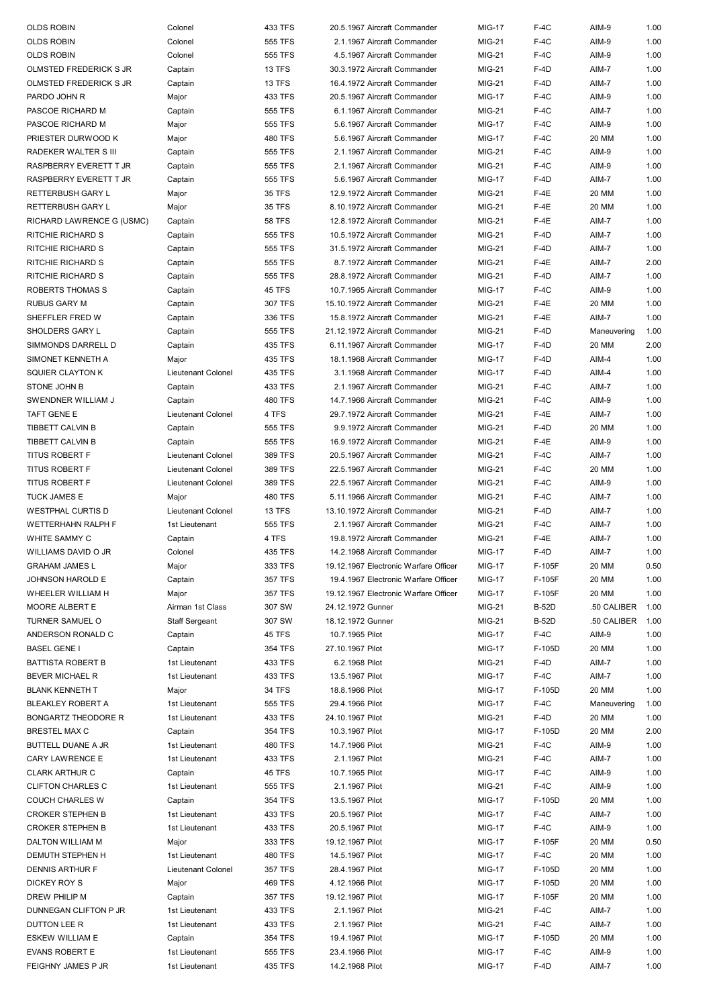| <b>OLDS ROBIN</b>           | Colonel                   | 433 TFS        | 20.5.1967 Aircraft Commander          | <b>MIG-17</b> | $F-4C$       | AIM-9       | 1.00 |
|-----------------------------|---------------------------|----------------|---------------------------------------|---------------|--------------|-------------|------|
| <b>OLDS ROBIN</b>           | Colonel                   | 555 TFS        | 2.1.1967 Aircraft Commander           | <b>MIG-21</b> | $F-4C$       | AIM-9       | 1.00 |
| <b>OLDS ROBIN</b>           | Colonel                   | 555 TFS        | 4.5.1967 Aircraft Commander           | <b>MIG-21</b> | $F-4C$       | AIM-9       | 1.00 |
| OLMSTED FREDERICK S JR      | Captain                   | <b>13 TFS</b>  | 30.3.1972 Aircraft Commander          | <b>MIG-21</b> | $F-4D$       | AIM-7       | 1.00 |
| OLMSTED FREDERICK S JR      | Captain                   | <b>13 TFS</b>  | 16.4.1972 Aircraft Commander          | <b>MIG-21</b> | $F-4D$       | AIM-7       | 1.00 |
| PARDO JOHN R                | Major                     | 433 TFS        | 20.5.1967 Aircraft Commander          | <b>MIG-17</b> | $F-4C$       | AIM-9       | 1.00 |
| PASCOE RICHARD M            | Captain                   | 555 TFS        | 6.1.1967 Aircraft Commander           | <b>MIG-21</b> | $F-4C$       | AIM-7       | 1.00 |
| PASCOE RICHARD M            | Major                     | 555 TFS        | 5.6.1967 Aircraft Commander           | <b>MIG-17</b> | $F-4C$       | AIM-9       | 1.00 |
| PRIESTER DURWOOD K          | Major                     | <b>480 TFS</b> | 5.6.1967 Aircraft Commander           | <b>MIG-17</b> | $F-4C$       | 20 MM       | 1.00 |
| <b>RADEKER WALTER S III</b> | Captain                   | 555 TFS        | 2.1.1967 Aircraft Commander           | <b>MIG-21</b> | $F-4C$       | AIM-9       | 1.00 |
| RASPBERRY EVERETT T JR      |                           | 555 TFS        | 2.1.1967 Aircraft Commander           | <b>MIG-21</b> | $F-4C$       | AIM-9       | 1.00 |
|                             | Captain                   |                |                                       |               |              |             |      |
| RASPBERRY EVERETT T JR      | Captain                   | 555 TFS        | 5.6.1967 Aircraft Commander           | <b>MIG-17</b> | $F-4D$       | AIM-7       | 1.00 |
| RETTERBUSH GARY L           | Major                     | <b>35 TFS</b>  | 12.9.1972 Aircraft Commander          | <b>MIG-21</b> | $F-4E$       | 20 MM       | 1.00 |
| RETTERBUSH GARY L           | Major                     | <b>35 TFS</b>  | 8.10.1972 Aircraft Commander          | <b>MIG-21</b> | $F-4E$       | 20 MM       | 1.00 |
| RICHARD LAWRENCE G (USMC)   | Captain                   | <b>58 TFS</b>  | 12.8.1972 Aircraft Commander          | <b>MIG-21</b> | $F-4E$       | AIM-7       | 1.00 |
| RITCHIE RICHARD S           | Captain                   | 555 TFS        | 10.5.1972 Aircraft Commander          | <b>MIG-21</b> | $F-4D$       | AIM-7       | 1.00 |
| RITCHIE RICHARD S           | Captain                   | 555 TFS        | 31.5.1972 Aircraft Commander          | <b>MIG-21</b> | F-4D         | AIM-7       | 1.00 |
| RITCHIE RICHARD S           | Captain                   | 555 TFS        | 8.7.1972 Aircraft Commander           | <b>MIG-21</b> | $F-4E$       | AIM-7       | 2.00 |
| RITCHIE RICHARD S           | Captain                   | 555 TFS        | 28.8.1972 Aircraft Commander          | <b>MIG-21</b> | F-4D         | AIM-7       | 1.00 |
| ROBERTS THOMAS S            | Captain                   | 45 TFS         | 10.7.1965 Aircraft Commander          | <b>MIG-17</b> | $F-4C$       | AIM-9       | 1.00 |
| RUBUS GARY M                | Captain                   | 307 TFS        | 15.10.1972 Aircraft Commander         | <b>MIG-21</b> | $F-4E$       | 20 MM       | 1.00 |
| SHEFFLER FRED W             | Captain                   | 336 TFS        | 15.8.1972 Aircraft Commander          | <b>MIG-21</b> | $F-4E$       | AIM-7       | 1.00 |
| SHOLDERS GARY L             | Captain                   | 555 TFS        | 21.12.1972 Aircraft Commander         | <b>MIG-21</b> | $F-4D$       | Maneuvering | 1.00 |
| SIMMONDS DARRELL D          | Captain                   | 435 TFS        | 6.11.1967 Aircraft Commander          | <b>MIG-17</b> | $F-4D$       | 20 MM       | 2.00 |
| SIMONET KENNETH A           | Major                     | 435 TFS        | 18.1.1968 Aircraft Commander          | <b>MIG-17</b> | F-4D         | AIM-4       | 1.00 |
| <b>SQUIER CLAYTON K</b>     | <b>Lieutenant Colonel</b> | 435 TFS        | 3.1.1968 Aircraft Commander           | <b>MIG-17</b> | $F-4D$       | AIM-4       | 1.00 |
| STONE JOHN B                | Captain                   | 433 TFS        | 2.1.1967 Aircraft Commander           | <b>MIG-21</b> | $F-4C$       | AIM-7       | 1.00 |
| SWENDNER WILLIAM J          | Captain                   | 480 TFS        | 14.7.1966 Aircraft Commander          | <b>MIG-21</b> | $F-4C$       | AIM-9       | 1.00 |
| TAFT GENE E                 | Lieutenant Colonel        | 4 TFS          | 29.7.1972 Aircraft Commander          | <b>MIG-21</b> | $F-4E$       | AIM-7       | 1.00 |
| TIBBETT CALVIN B            | Captain                   | 555 TFS        | 9.9.1972 Aircraft Commander           | <b>MIG-21</b> | $F-4D$       | 20 MM       | 1.00 |
| TIBBETT CALVIN B            | Captain                   | 555 TFS        | 16.9.1972 Aircraft Commander          | <b>MIG-21</b> | $F-4E$       | AIM-9       | 1.00 |
| <b>TITUS ROBERT F</b>       | Lieutenant Colonel        | 389 TFS        | 20.5.1967 Aircraft Commander          | <b>MIG-21</b> | $F-4C$       | AIM-7       | 1.00 |
| <b>TITUS ROBERT F</b>       | <b>Lieutenant Colonel</b> | 389 TFS        | 22.5.1967 Aircraft Commander          | <b>MIG-21</b> | $F-4C$       | 20 MM       | 1.00 |
|                             | Lieutenant Colonel        | 389 TFS        |                                       |               |              |             | 1.00 |
| TITUS ROBERT F              |                           | <b>480 TFS</b> | 22.5.1967 Aircraft Commander          | <b>MIG-21</b> | $F-4C$       | AIM-9       | 1.00 |
| <b>TUCK JAMES E</b>         | Major                     |                | 5.11.1966 Aircraft Commander          | <b>MIG-21</b> | $F-4C$       | AIM-7       |      |
| <b>WESTPHAL CURTIS D</b>    | Lieutenant Colonel        | 13 TFS         | 13.10.1972 Aircraft Commander         | <b>MIG-21</b> | $F-4D$       | AIM-7       | 1.00 |
| WETTERHAHN RALPH F          | 1st Lieutenant            | 555 TFS        | 2.1.1967 Aircraft Commander           | <b>MIG-21</b> | $F-4C$       | AIM-7       | 1.00 |
| WHITE SAMMY C               | Captain                   | 4 TFS          | 19.8.1972 Aircraft Commander          | <b>MIG-21</b> | $F-4E$       | AIM-7       | 1.00 |
| WILLIAMS DAVID O JR         | Colonel                   | 435 TFS        | 14.2.1968 Aircraft Commander          | <b>MIG-17</b> | $F-4D$       | AIM-7       | 1.00 |
| <b>GRAHAM JAMES L</b>       | Major                     | 333 TFS        | 19.12.1967 Electronic Warfare Officer | <b>MIG-17</b> | F-105F       | 20 MM       | 0.50 |
| <b>JOHNSON HAROLD E</b>     | Captain                   | 357 TFS        | 19.4.1967 Electronic Warfare Officer  | <b>MIG-17</b> | F-105F       | 20 MM       | 1.00 |
| WHEELER WILLIAM H           | Major                     | 357 TFS        | 19.12.1967 Electronic Warfare Officer | <b>MIG-17</b> | F-105F       | 20 MM       | 1.00 |
| MOORE ALBERT E              | Airman 1st Class          | 307 SW         | 24.12.1972 Gunner                     | MIG-21        | <b>B-52D</b> | .50 CALIBER | 1.00 |
| TURNER SAMUEL O             | <b>Staff Sergeant</b>     | 307 SW         | 18.12.1972 Gunner                     | MIG-21        | <b>B-52D</b> | .50 CALIBER | 1.00 |
| ANDERSON RONALD C           | Captain                   | 45 TFS         | 10.7.1965 Pilot                       | <b>MIG-17</b> | $F-4C$       | AIM-9       | 1.00 |
| <b>BASEL GENE I</b>         | Captain                   | 354 TFS        | 27.10.1967 Pilot                      | <b>MIG-17</b> | F-105D       | 20 MM       | 1.00 |
| BATTISTA ROBERT B           | 1st Lieutenant            | 433 TFS        | 6.2.1968 Pilot                        | MIG-21        | F-4D         | AIM-7       | 1.00 |
| BEVER MICHAEL R             | 1st Lieutenant            | 433 TFS        | 13.5.1967 Pilot                       | <b>MIG-17</b> | $F-4C$       | AIM-7       | 1.00 |
| <b>BLANK KENNETH T</b>      | Major                     | <b>34 TFS</b>  | 18.8.1966 Pilot                       | <b>MIG-17</b> | F-105D       | 20 MM       | 1.00 |
| <b>BLEAKLEY ROBERT A</b>    | 1st Lieutenant            | 555 TFS        | 29.4.1966 Pilot                       | <b>MIG-17</b> | $F-4C$       | Maneuvering | 1.00 |
| BONGARTZ THEODORE R         | 1st Lieutenant            | 433 TFS        | 24.10.1967 Pilot                      | <b>MIG-21</b> | $F-4D$       | 20 MM       | 1.00 |
| BRESTEL MAX C               | Captain                   | 354 TFS        | 10.3.1967 Pilot                       | <b>MIG-17</b> | F-105D       | 20 MM       | 2.00 |
| BUTTELL DUANE A JR          | 1st Lieutenant            | 480 TFS        | 14.7.1966 Pilot                       | MIG-21        | $F-4C$       | AIM-9       | 1.00 |
| CARY LAWRENCE E             | 1st Lieutenant            | 433 TFS        | 2.1.1967 Pilot                        | MIG-21        | $F-4C$       | AIM-7       | 1.00 |
| <b>CLARK ARTHUR C</b>       | Captain                   | 45 TFS         | 10.7.1965 Pilot                       | <b>MIG-17</b> | $F-4C$       | AIM-9       | 1.00 |
| <b>CLIFTON CHARLES C</b>    | 1st Lieutenant            | 555 TFS        | 2.1.1967 Pilot                        | MIG-21        | $F-4C$       | AIM-9       | 1.00 |
| <b>COUCH CHARLES W</b>      | Captain                   | 354 TFS        | 13.5.1967 Pilot                       | <b>MIG-17</b> | F-105D       | 20 MM       | 1.00 |
| <b>CROKER STEPHEN B</b>     | 1st Lieutenant            | 433 TFS        | 20.5.1967 Pilot                       | <b>MIG-17</b> | $F-4C$       | AIM-7       | 1.00 |
| <b>CROKER STEPHEN B</b>     | 1st Lieutenant            | 433 TFS        | 20.5.1967 Pilot                       | <b>MIG-17</b> | $F-4C$       | AIM-9       | 1.00 |
| DALTON WILLIAM M            | Major                     | 333 TFS        | 19.12.1967 Pilot                      | <b>MIG-17</b> | F-105F       | 20 MM       | 0.50 |
|                             |                           |                |                                       |               |              |             |      |
| DEMUTH STEPHEN H            | 1st Lieutenant            | <b>480 TFS</b> | 14.5.1967 Pilot                       | <b>MIG-17</b> | $F-4C$       | 20 MM       | 1.00 |
| DENNIS ARTHUR F             | Lieutenant Colonel        | 357 TFS        | 28.4.1967 Pilot                       | <b>MIG-17</b> | F-105D       | 20 MM       | 1.00 |
| DICKEY ROY S                | Major                     | 469 TFS        | 4.12.1966 Pilot                       | <b>MIG-17</b> | F-105D       | 20 MM       | 1.00 |
| DREW PHILIP M               | Captain                   | 357 TFS        | 19.12.1967 Pilot                      | <b>MIG-17</b> | F-105F       | 20 MM       | 1.00 |
| DUNNEGAN CLIFTON P JR       | 1st Lieutenant            | 433 TFS        | 2.1.1967 Pilot                        | <b>MIG-21</b> | $F-4C$       | AIM-7       | 1.00 |
| DUTTON LEE R                | 1st Lieutenant            | 433 TFS        | 2.1.1967 Pilot                        | MIG-21        | $F-4C$       | AIM-7       | 1.00 |
| ESKEW WILLIAM E             | Captain                   | 354 TFS        | 19.4.1967 Pilot                       | <b>MIG-17</b> | F-105D       | 20 MM       | 1.00 |
| <b>EVANS ROBERT E</b>       | 1st Lieutenant            | 555 TFS        | 23.4.1966 Pilot                       | <b>MIG-17</b> | $F-4C$       | AIM-9       | 1.00 |
| FEIGHNY JAMES P JR          | 1st Lieutenant            | 435 TFS        | 14.2.1968 Pilot                       | <b>MIG-17</b> | $F-4D$       | AIM-7       | 1.00 |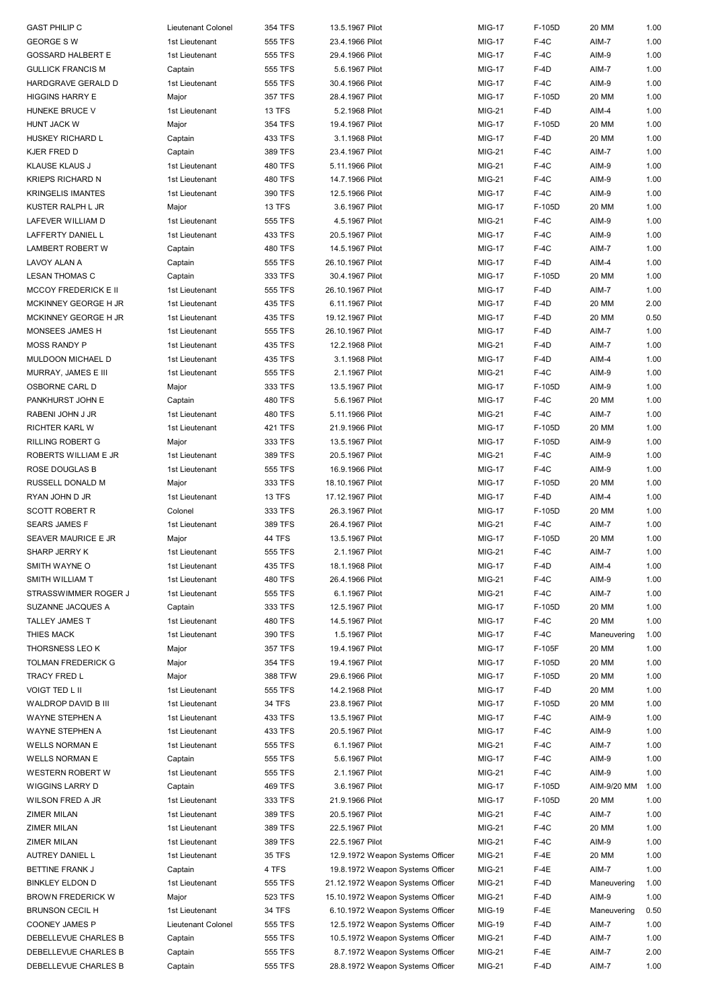| <b>GAST PHILIP C</b>     | Lieutenant Colonel | 354 TFS       | 13.5.1967 Pilot                   | <b>MIG-17</b> | F-105D | 20 MM       | 1.00 |
|--------------------------|--------------------|---------------|-----------------------------------|---------------|--------|-------------|------|
| <b>GEORGE SW</b>         | 1st Lieutenant     | 555 TFS       | 23.4.1966 Pilot                   | <b>MIG-17</b> | $F-4C$ | AIM-7       | 1.00 |
|                          |                    |               |                                   |               |        |             |      |
| GOSSARD HALBERT E        | 1st Lieutenant     | 555 TFS       | 29.4.1966 Pilot                   | <b>MIG-17</b> | $F-4C$ | AIM-9       | 1.00 |
| <b>GULLICK FRANCIS M</b> | Captain            | 555 TFS       | 5.6.1967 Pilot                    | <b>MIG-17</b> | F-4D   | AIM-7       | 1.00 |
| HARDGRAVE GERALD D       | 1st Lieutenant     | 555 TFS       | 30.4.1966 Pilot                   | <b>MIG-17</b> | $F-4C$ | AIM-9       | 1.00 |
| HIGGINS HARRY E          | Major              | 357 TFS       | 28.4.1967 Pilot                   | <b>MIG-17</b> | F-105D | 20 MM       | 1.00 |
| HUNEKE BRUCE V           | 1st Lieutenant     | <b>13 TFS</b> | 5.2.1968 Pilot                    | MIG-21        | F-4D   | AIM-4       | 1.00 |
| HUNT JACK W              | Major              | 354 TFS       | 19.4.1967 Pilot                   | <b>MIG-17</b> | F-105D | 20 MM       | 1.00 |
| HUSKEY RICHARD L         | Captain            | 433 TFS       | 3.1.1968 Pilot                    | <b>MIG-17</b> | F-4D   | 20 MM       | 1.00 |
|                          |                    |               |                                   |               |        |             |      |
| KJER FRED D              | Captain            | 389 TFS       | 23.4.1967 Pilot                   | MIG-21        | $F-4C$ | AIM-7       | 1.00 |
| KLAUSE KLAUS J           | 1st Lieutenant     | 480 TFS       | 5.11.1966 Pilot                   | <b>MIG-21</b> | $F-4C$ | AIM-9       | 1.00 |
| KRIEPS RICHARD N         | 1st Lieutenant     | 480 TFS       | 14.7.1966 Pilot                   | <b>MIG-21</b> | $F-4C$ | AIM-9       | 1.00 |
| KRINGELIS IMANTES        | 1st Lieutenant     | 390 TFS       | 12.5.1966 Pilot                   | <b>MIG-17</b> | $F-4C$ | AIM-9       | 1.00 |
| KUSTER RALPH L JR        | Major              | <b>13 TFS</b> | 3.6.1967 Pilot                    | <b>MIG-17</b> | F-105D | 20 MM       | 1.00 |
| LAFEVER WILLIAM D        | 1st Lieutenant     | 555 TFS       | 4.5.1967 Pilot                    | <b>MIG-21</b> | $F-4C$ | AIM-9       | 1.00 |
| LAFFERTY DANIEL L        | 1st Lieutenant     | 433 TFS       | 20.5.1967 Pilot                   | <b>MIG-17</b> | $F-4C$ | AIM-9       | 1.00 |
|                          |                    |               |                                   |               |        |             |      |
| LAMBERT ROBERT W         | Captain            | 480 TFS       | 14.5.1967 Pilot                   | <b>MIG-17</b> | $F-4C$ | AIM-7       | 1.00 |
| LAVOY ALAN A             | Captain            | 555 TFS       | 26.10.1967 Pilot                  | <b>MIG-17</b> | $F-4D$ | AIM-4       | 1.00 |
| LESAN THOMAS C           | Captain            | 333 TFS       | 30.4.1967 Pilot                   | <b>MIG-17</b> | F-105D | 20 MM       | 1.00 |
| MCCOY FREDERICK E II     | 1st Lieutenant     | 555 TFS       | 26.10.1967 Pilot                  | <b>MIG-17</b> | $F-4D$ | AIM-7       | 1.00 |
| MCKINNEY GEORGE H JR     | 1st Lieutenant     | 435 TFS       | 6.11.1967 Pilot                   | <b>MIG-17</b> | $F-4D$ | 20 MM       | 2.00 |
| MCKINNEY GEORGE H JR     | 1st Lieutenant     | 435 TFS       | 19.12.1967 Pilot                  | <b>MIG-17</b> | F-4D   | 20 MM       | 0.50 |
| MONSEES JAMES H          | 1st Lieutenant     | 555 TFS       | 26.10.1967 Pilot                  | <b>MIG-17</b> | F-4D   | AIM-7       | 1.00 |
| <b>MOSS RANDY P</b>      | 1st Lieutenant     | 435 TFS       | 12.2.1968 Pilot                   | <b>MIG-21</b> | $F-4D$ | AIM-7       | 1.00 |
|                          |                    | 435 TFS       |                                   |               |        |             |      |
| MULDOON MICHAEL D        | 1st Lieutenant     |               | 3.1.1968 Pilot                    | <b>MIG-17</b> | F-4D   | AIM-4       | 1.00 |
| MURRAY, JAMES E III      | 1st Lieutenant     | 555 TFS       | 2.1.1967 Pilot                    | MIG-21        | $F-4C$ | AIM-9       | 1.00 |
| OSBORNE CARL D           | Major              | 333 TFS       | 13.5.1967 Pilot                   | <b>MIG-17</b> | F-105D | AIM-9       | 1.00 |
| PANKHURST JOHN E         | Captain            | 480 TFS       | 5.6.1967 Pilot                    | <b>MIG-17</b> | $F-4C$ | 20 MM       | 1.00 |
| RABENI JOHN J JR         | 1st Lieutenant     | 480 TFS       | 5.11.1966 Pilot                   | MIG-21        | $F-4C$ | AIM-7       | 1.00 |
| RICHTER KARL W           | 1st Lieutenant     | 421 TFS       | 21.9.1966 Pilot                   | <b>MIG-17</b> | F-105D | 20 MM       | 1.00 |
| RILLING ROBERT G         | Major              | 333 TFS       | 13.5.1967 Pilot                   | <b>MIG-17</b> | F-105D | AIM-9       | 1.00 |
| ROBERTS WILLIAM E JR     | 1st Lieutenant     | 389 TFS       | 20.5.1967 Pilot                   | MIG-21        | $F-4C$ | AIM-9       | 1.00 |
| ROSE DOUGLAS B           | 1st Lieutenant     | 555 TFS       | 16.9.1966 Pilot                   | <b>MIG-17</b> | $F-4C$ | AIM-9       | 1.00 |
| RUSSELL DONALD M         | Major              | 333 TFS       | 18.10.1967 Pilot                  | <b>MIG-17</b> | F-105D | 20 MM       | 1.00 |
| RYAN JOHN D JR           | 1st Lieutenant     | 13 TFS        | 17.12.1967 Pilot                  | <b>MIG-17</b> | F-4D   | AIM-4       | 1.00 |
|                          | Colonel            |               |                                   |               |        |             | 1.00 |
| SCOTT ROBERT R           |                    | 333 TFS       | 26.3.1967 Pilot                   | <b>MIG-17</b> | F-105D | 20 MM       |      |
| SEARS JAMES F            | 1st Lieutenant     | 389 TFS       | 26.4.1967 Pilot                   | MIG-21        | $F-4C$ | AIM-7       | 1.00 |
| SEAVER MAURICE E JR      | Major              | 44 TFS        | 13.5.1967 Pilot                   | <b>MIG-17</b> | F-105D | 20 MM       | 1.00 |
| SHARP JERRY K            | 1st Lieutenant     | 555 TFS       | 2.1.1967 Pilot                    | <b>MIG-21</b> | $F-4C$ | AIM-7       | 1.00 |
| SMITH WAYNE O            | 1st Lieutenant     | 435 TFS       | 18.1.1968 Pilot                   | <b>MIG-17</b> | $F-4D$ | AIM-4       | 1.00 |
| SMITH WILLIAM T          | 1st Lieutenant     | 480 TFS       | 26.4.1966 Pilot                   | MIG-21        | $F-4C$ | AIM-9       | 1.00 |
| STRASSWIMMER ROGER J     | 1st Lieutenant     | 555 TFS       | 6.1.1967 Pilot                    | MIG-21        | $F-4C$ | AIM-7       | 1.00 |
| SUZANNE JACQUES A        | Captain            | 333 TFS       | 12.5.1967 Pilot                   | <b>MIG-17</b> | F-105D | 20 MM       | 1.00 |
| TALLEY JAMES T           | 1st Lieutenant     | 480 TFS       | 14.5.1967 Pilot                   | <b>MIG-17</b> | $F-4C$ | 20 MM       | 1.00 |
| THIES MACK               | 1st Lieutenant     | 390 TFS       | 1.5.1967 Pilot                    | <b>MIG-17</b> | $F-4C$ | Maneuvering | 1.00 |
| THORSNESS LEO K          |                    | 357 TFS       |                                   |               |        |             | 1.00 |
|                          | Major              |               | 19.4.1967 Pilot                   | <b>MIG-17</b> | F-105F | 20 MM       |      |
| TOLMAN FREDERICK G       | Major              | 354 TFS       | 19.4.1967 Pilot                   | <b>MIG-17</b> | F-105D | 20 MM       | 1.00 |
| TRACY FRED L             | Major              | 388 TFW       | 29.6.1966 Pilot                   | <b>MIG-17</b> | F-105D | 20 MM       | 1.00 |
| VOIGT TED L II           | 1st Lieutenant     | 555 TFS       | 14.2.1968 Pilot                   | <b>MIG-17</b> | $F-4D$ | 20 MM       | 1.00 |
| WALDROP DAVID B III      | 1st Lieutenant     | 34 TFS        | 23.8.1967 Pilot                   | <b>MIG-17</b> | F-105D | 20 MM       | 1.00 |
| WAYNE STEPHEN A          | 1st Lieutenant     | 433 TFS       | 13.5.1967 Pilot                   | <b>MIG-17</b> | $F-4C$ | AIM-9       | 1.00 |
| WAYNE STEPHEN A          | 1st Lieutenant     | 433 TFS       | 20.5.1967 Pilot                   | <b>MIG-17</b> | $F-4C$ | AIM-9       | 1.00 |
| WELLS NORMAN E           | 1st Lieutenant     | 555 TFS       | 6.1.1967 Pilot                    | MIG-21        | $F-4C$ | AIM-7       | 1.00 |
| WELLS NORMAN E           | Captain            | 555 TFS       | 5.6.1967 Pilot                    | <b>MIG-17</b> | $F-4C$ | AIM-9       | 1.00 |
| WESTERN ROBERT W         | 1st Lieutenant     | 555 TFS       | 2.1.1967 Pilot                    | MIG-21        | $F-4C$ | AIM-9       | 1.00 |
| WIGGINS LARRY D          | Captain            | 469 TFS       | 3.6.1967 Pilot                    | <b>MIG-17</b> | F-105D | AIM-9/20 MM | 1.00 |
|                          |                    |               |                                   |               |        |             |      |
| WILSON FRED A JR         | 1st Lieutenant     | 333 TFS       | 21.9.1966 Pilot                   | <b>MIG-17</b> | F-105D | 20 MM       | 1.00 |
| ZIMER MILAN              | 1st Lieutenant     | 389 TFS       | 20.5.1967 Pilot                   | MIG-21        | $F-4C$ | AIM-7       | 1.00 |
| ZIMER MILAN              | 1st Lieutenant     | 389 TFS       | 22.5.1967 Pilot                   | <b>MIG-21</b> | $F-4C$ | 20 MM       | 1.00 |
| ZIMER MILAN              | 1st Lieutenant     | 389 TFS       | 22.5.1967 Pilot                   | MIG-21        | $F-4C$ | AIM-9       | 1.00 |
| AUTREY DANIEL L          | 1st Lieutenant     | <b>35 TFS</b> | 12.9.1972 Weapon Systems Officer  | MIG-21        | $F-4E$ | 20 MM       | 1.00 |
| BETTINE FRANK J          | Captain            | 4 TFS         | 19.8.1972 Weapon Systems Officer  | MIG-21        | $F-4E$ | AIM-7       | 1.00 |
| <b>BINKLEY ELDON D</b>   | 1st Lieutenant     | 555 TFS       | 21.12.1972 Weapon Systems Officer | MIG-21        | F-4D   | Maneuvering | 1.00 |
| BROWN FREDERICK W        | Major              | 523 TFS       | 15.10.1972 Weapon Systems Officer | MIG-21        | F-4D   | AIM-9       | 1.00 |
| BRUNSON CECIL H          | 1st Lieutenant     | 34 TFS        | 6.10.1972 Weapon Systems Officer  | MIG-19        | $F-4E$ | Maneuvering | 0.50 |
| COONEY JAMES P           | Lieutenant Colonel | 555 TFS       | 12.5.1972 Weapon Systems Officer  | MIG-19        | F-4D   | AIM-7       | 1.00 |
| DEBELLEVUE CHARLES B     | Captain            | 555 TFS       | 10.5.1972 Weapon Systems Officer  | MIG-21        | F-4D   | AIM-7       | 1.00 |
| DEBELLEVUE CHARLES B     |                    |               |                                   |               |        |             |      |
|                          | Captain            | 555 TFS       | 8.7.1972 Weapon Systems Officer   | MIG-21        | $F-4E$ | AIM-7       | 2.00 |
| DEBELLEVUE CHARLES B     | Captain            | 555 TFS       | 28.8.1972 Weapon Systems Officer  | MIG-21        | $F-4D$ | AIM-7       | 1.00 |